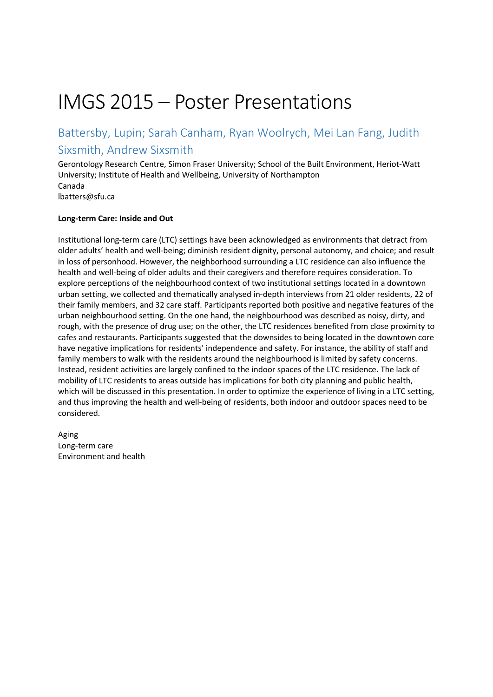# IMGS 2015 – Poster Presentations

### Battersby, Lupin; Sarah Canham, Ryan Woolrych, Mei Lan Fang, Judith Sixsmith, Andrew Sixsmith

Gerontology Research Centre, Simon Fraser University; School of the Built Environment, Heriot-Watt University; Institute of Health and Wellbeing, University of Northampton Canada lbatters@sfu.ca

#### **Long-term Care: Inside and Out**

Institutional long-term care (LTC) settings have been acknowledged as environments that detract from older adults' health and well-being; diminish resident dignity, personal autonomy, and choice; and result in loss of personhood. However, the neighborhood surrounding a LTC residence can also influence the health and well-being of older adults and their caregivers and therefore requires consideration. To explore perceptions of the neighbourhood context of two institutional settings located in a downtown urban setting, we collected and thematically analysed in-depth interviews from 21 older residents, 22 of their family members, and 32 care staff. Participants reported both positive and negative features of the urban neighbourhood setting. On the one hand, the neighbourhood was described as noisy, dirty, and rough, with the presence of drug use; on the other, the LTC residences benefited from close proximity to cafes and restaurants. Participants suggested that the downsides to being located in the downtown core have negative implications for residents' independence and safety. For instance, the ability of staff and family members to walk with the residents around the neighbourhood is limited by safety concerns. Instead, resident activities are largely confined to the indoor spaces of the LTC residence. The lack of mobility of LTC residents to areas outside has implications for both city planning and public health, which will be discussed in this presentation. In order to optimize the experience of living in a LTC setting, and thus improving the health and well-being of residents, both indoor and outdoor spaces need to be considered.

Aging Long-term care Environment and health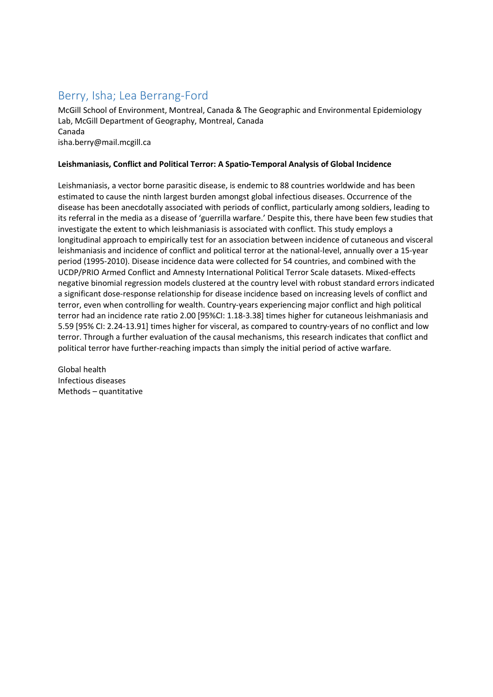### Berry, Isha; Lea Berrang-Ford

McGill School of Environment, Montreal, Canada & The Geographic and Environmental Epidemiology Lab, McGill Department of Geography, Montreal, Canada Canada isha.berry@mail.mcgill.ca

#### **Leishmaniasis, Conflict and Political Terror: A Spatio-Temporal Analysis of Global Incidence**

Leishmaniasis, a vector borne parasitic disease, is endemic to 88 countries worldwide and has been estimated to cause the ninth largest burden amongst global infectious diseases. Occurrence of the disease has been anecdotally associated with periods of conflict, particularly among soldiers, leading to its referral in the media as a disease of 'guerrilla warfare.' Despite this, there have been few studies that investigate the extent to which leishmaniasis is associated with conflict. This study employs a longitudinal approach to empirically test for an association between incidence of cutaneous and visceral leishmaniasis and incidence of conflict and political terror at the national-level, annually over a 15-year period (1995-2010). Disease incidence data were collected for 54 countries, and combined with the UCDP/PRIO Armed Conflict and Amnesty International Political Terror Scale datasets. Mixed-effects negative binomial regression models clustered at the country level with robust standard errors indicated a significant dose-response relationship for disease incidence based on increasing levels of conflict and terror, even when controlling for wealth. Country-years experiencing major conflict and high political terror had an incidence rate ratio 2.00 [95%CI: 1.18-3.38] times higher for cutaneous leishmaniasis and 5.59 [95% CI: 2.24-13.91] times higher for visceral, as compared to country-years of no conflict and low terror. Through a further evaluation of the causal mechanisms, this research indicates that conflict and political terror have further-reaching impacts than simply the initial period of active warfare.

Global health Infectious diseases Methods – quantitative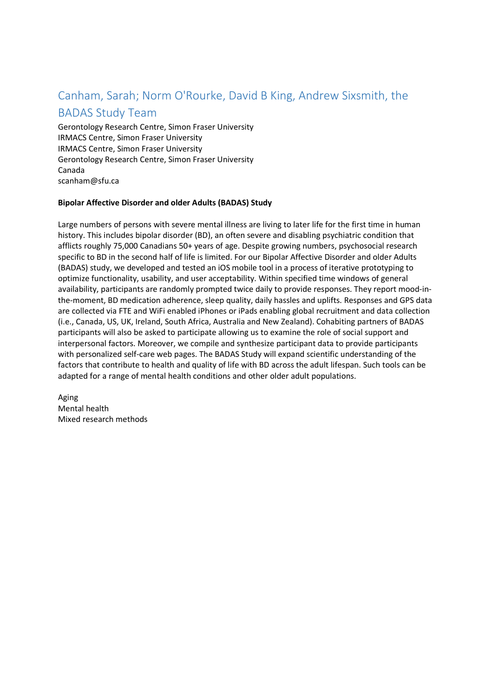### Canham, Sarah; Norm O'Rourke, David B King, Andrew Sixsmith, the BADAS Study Team

Gerontology Research Centre, Simon Fraser University IRMACS Centre, Simon Fraser University IRMACS Centre, Simon Fraser University Gerontology Research Centre, Simon Fraser University Canada scanham@sfu.ca

### **Bipolar Affective Disorder and older Adults (BADAS) Study**

Large numbers of persons with severe mental illness are living to later life for the first time in human history. This includes bipolar disorder (BD), an often severe and disabling psychiatric condition that afflicts roughly 75,000 Canadians 50+ years of age. Despite growing numbers, psychosocial research specific to BD in the second half of life is limited. For our Bipolar Affective Disorder and older Adults (BADAS) study, we developed and tested an iOS mobile tool in a process of iterative prototyping to optimize functionality, usability, and user acceptability. Within specified time windows of general availability, participants are randomly prompted twice daily to provide responses. They report mood-inthe-moment, BD medication adherence, sleep quality, daily hassles and uplifts. Responses and GPS data are collected via FTE and WiFi enabled iPhones or iPads enabling global recruitment and data collection (i.e., Canada, US, UK, Ireland, South Africa, Australia and New Zealand). Cohabiting partners of BADAS participants will also be asked to participate allowing us to examine the role of social support and interpersonal factors. Moreover, we compile and synthesize participant data to provide participants with personalized self-care web pages. The BADAS Study will expand scientific understanding of the factors that contribute to health and quality of life with BD across the adult lifespan. Such tools can be adapted for a range of mental health conditions and other older adult populations.

Aging Mental health Mixed research methods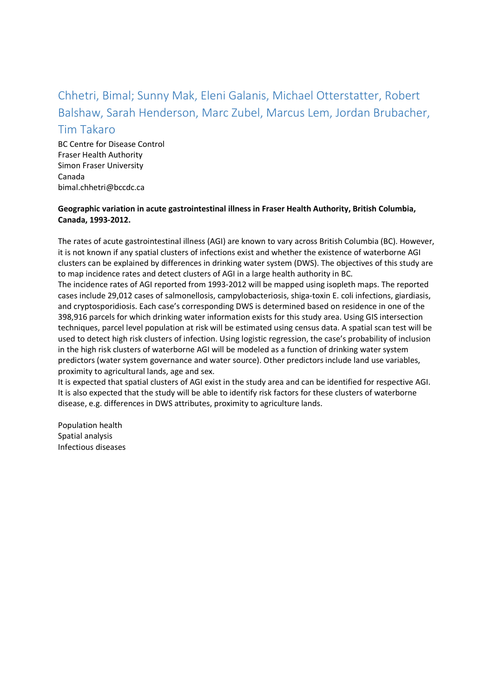# Chhetri, Bimal; Sunny Mak, Eleni Galanis, Michael Otterstatter, Robert Balshaw, Sarah Henderson, Marc Zubel, Marcus Lem, Jordan Brubacher,

### Tim Takaro

BC Centre for Disease Control Fraser Health Authority Simon Fraser University Canada bimal.chhetri@bccdc.ca

### **Geographic variation in acute gastrointestinal illness in Fraser Health Authority, British Columbia, Canada, 1993-2012.**

The rates of acute gastrointestinal illness (AGI) are known to vary across British Columbia (BC). However, it is not known if any spatial clusters of infections exist and whether the existence of waterborne AGI clusters can be explained by differences in drinking water system (DWS). The objectives of this study are to map incidence rates and detect clusters of AGI in a large health authority in BC.

The incidence rates of AGI reported from 1993-2012 will be mapped using isopleth maps. The reported cases include 29,012 cases of salmonellosis, campylobacteriosis, shiga-toxin E. coli infections, giardiasis, and cryptosporidiosis. Each case's corresponding DWS is determined based on residence in one of the 398,916 parcels for which drinking water information exists for this study area. Using GIS intersection techniques, parcel level population at risk will be estimated using census data. A spatial scan test will be used to detect high risk clusters of infection. Using logistic regression, the case's probability of inclusion in the high risk clusters of waterborne AGI will be modeled as a function of drinking water system predictors (water system governance and water source). Other predictors include land use variables, proximity to agricultural lands, age and sex.

It is expected that spatial clusters of AGI exist in the study area and can be identified for respective AGI. It is also expected that the study will be able to identify risk factors for these clusters of waterborne disease, e.g. differences in DWS attributes, proximity to agriculture lands.

Population health Spatial analysis Infectious diseases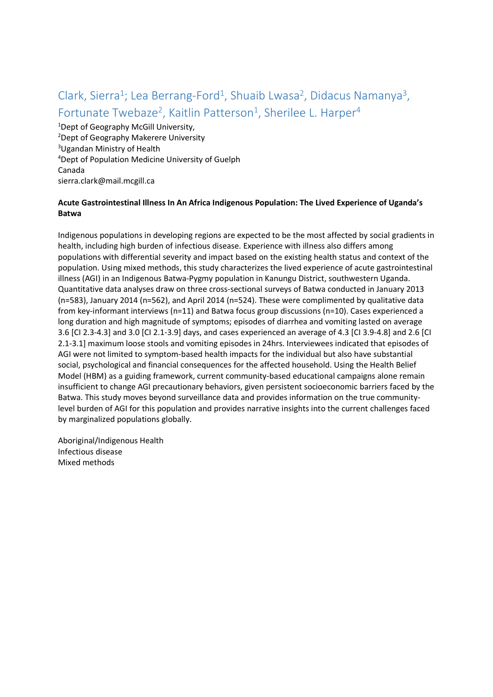# Clark, Sierra<sup>1</sup>; Lea Berrang-Ford<sup>1</sup>, Shuaib Lwasa<sup>2</sup>, Didacus Namanya<sup>3</sup>, Fortunate Twebaze<sup>2</sup>, Kaitlin Patterson<sup>1</sup>, Sherilee L. Harper<sup>4</sup>

 Dept of Geography McGill University, Dept of Geography Makerere University Ugandan Ministry of Health Dept of Population Medicine University of Guelph Canada sierra.clark@mail.mcgill.ca

### **Acute Gastrointestinal Illness In An Africa Indigenous Population: The Lived Experience of Uganda's Batwa**

Indigenous populations in developing regions are expected to be the most affected by social gradients in health, including high burden of infectious disease. Experience with illness also differs among populations with differential severity and impact based on the existing health status and context of the population. Using mixed methods, this study characterizes the lived experience of acute gastrointestinal illness (AGI) in an Indigenous Batwa-Pygmy population in Kanungu District, southwestern Uganda. Quantitative data analyses draw on three cross-sectional surveys of Batwa conducted in January 2013 (n=583), January 2014 (n=562), and April 2014 (n=524). These were complimented by qualitative data from key-informant interviews (n=11) and Batwa focus group discussions (n=10). Cases experienced a long duration and high magnitude of symptoms; episodes of diarrhea and vomiting lasted on average 3.6 [CI 2.3-4.3] and 3.0 [CI 2.1-3.9] days, and cases experienced an average of 4.3 [CI 3.9-4.8] and 2.6 [CI 2.1-3.1] maximum loose stools and vomiting episodes in 24hrs. Interviewees indicated that episodes of AGI were not limited to symptom-based health impacts for the individual but also have substantial social, psychological and financial consequences for the affected household. Using the Health Belief Model (HBM) as a guiding framework, current community-based educational campaigns alone remain insufficient to change AGI precautionary behaviors, given persistent socioeconomic barriers faced by the Batwa. This study moves beyond surveillance data and provides information on the true communitylevel burden of AGI for this population and provides narrative insights into the current challenges faced by marginalized populations globally.

Aboriginal/Indigenous Health Infectious disease Mixed methods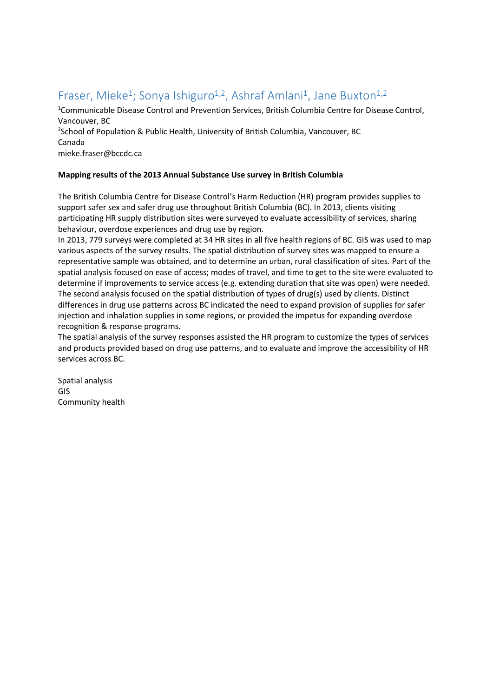### Fraser, Mieke<sup>1</sup>; Sonya Ishiguro<sup>1,2</sup>, Ashraf Amlani<sup>1</sup>, Jane Buxton<sup>1,2</sup>

<sup>1</sup>Communicable Disease Control and Prevention Services, British Columbia Centre for Disease Control, Vancouver, BC

<sup>2</sup>School of Population & Public Health, University of British Columbia, Vancouver, BC Canada

mieke.fraser@bccdc.ca

### **Mapping results of the 2013 Annual Substance Use survey in British Columbia**

The British Columbia Centre for Disease Control's Harm Reduction (HR) program provides supplies to support safer sex and safer drug use throughout British Columbia (BC). In 2013, clients visiting participating HR supply distribution sites were surveyed to evaluate accessibility of services, sharing behaviour, overdose experiences and drug use by region.

In 2013, 779 surveys were completed at 34 HR sites in all five health regions of BC. GIS was used to map various aspects of the survey results. The spatial distribution of survey sites was mapped to ensure a representative sample was obtained, and to determine an urban, rural classification of sites. Part of the spatial analysis focused on ease of access; modes of travel, and time to get to the site were evaluated to determine if improvements to service access (e.g. extending duration that site was open) were needed. The second analysis focused on the spatial distribution of types of drug(s) used by clients. Distinct differences in drug use patterns across BC indicated the need to expand provision of supplies for safer injection and inhalation supplies in some regions, or provided the impetus for expanding overdose recognition & response programs.

The spatial analysis of the survey responses assisted the HR program to customize the types of services and products provided based on drug use patterns, and to evaluate and improve the accessibility of HR services across BC.

Spatial analysis GIS Community health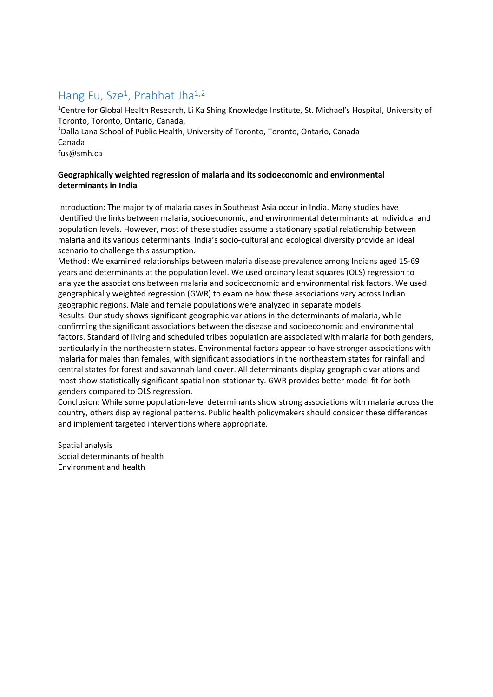### Hang Fu, Sze<sup>1</sup>, Prabhat Jha<sup>1,2</sup>

<sup>1</sup>Centre for Global Health Research, Li Ka Shing Knowledge Institute, St. Michael's Hospital, University of Toronto, Toronto, Ontario, Canada,

2 Dalla Lana School of Public Health, University of Toronto, Toronto, Ontario, Canada Canada

fus@smh.ca

### **Geographically weighted regression of malaria and its socioeconomic and environmental determinants in India**

Introduction: The majority of malaria cases in Southeast Asia occur in India. Many studies have identified the links between malaria, socioeconomic, and environmental determinants at individual and population levels. However, most of these studies assume a stationary spatial relationship between malaria and its various determinants. India's socio-cultural and ecological diversity provide an ideal scenario to challenge this assumption.

Method: We examined relationships between malaria disease prevalence among Indians aged 15-69 years and determinants at the population level. We used ordinary least squares (OLS) regression to analyze the associations between malaria and socioeconomic and environmental risk factors. We used geographically weighted regression (GWR) to examine how these associations vary across Indian geographic regions. Male and female populations were analyzed in separate models.

Results: Our study shows significant geographic variations in the determinants of malaria, while confirming the significant associations between the disease and socioeconomic and environmental factors. Standard of living and scheduled tribes population are associated with malaria for both genders, particularly in the northeastern states. Environmental factors appear to have stronger associations with malaria for males than females, with significant associations in the northeastern states for rainfall and central states for forest and savannah land cover. All determinants display geographic variations and most show statistically significant spatial non-stationarity. GWR provides better model fit for both genders compared to OLS regression.

Conclusion: While some population-level determinants show strong associations with malaria across the country, others display regional patterns. Public health policymakers should consider these differences and implement targeted interventions where appropriate.

Spatial analysis Social determinants of health Environment and health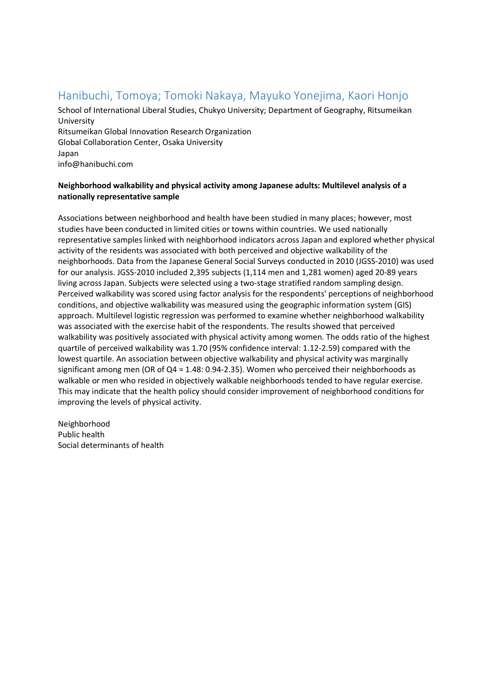### Hanibuchi, Tomoya; Tomoki Nakaya, Mayuko Yonejima, Kaori Honjo

School of International Liberal Studies, Chukyo University; Department of Geography, Ritsumeikan University Ritsumeikan Global Innovation Research Organization Global Collaboration Center, Osaka University Japan info@hanibuchi.com

### **Neighborhood walkability and physical activity among Japanese adults: Multilevel analysis of a nationally representative sample**

Associations between neighborhood and health have been studied in many places; however, most studies have been conducted in limited cities or towns within countries. We used nationally representative samples linked with neighborhood indicators across Japan and explored whether physical activity of the residents was associated with both perceived and objective walkability of the neighborhoods. Data from the Japanese General Social Surveys conducted in 2010 (JGSS-2010) was used for our analysis. JGSS-2010 included 2,395 subjects (1,114 men and 1,281 women) aged 20-89 years living across Japan. Subjects were selected using a two-stage stratified random sampling design. Perceived walkability was scored using factor analysis for the respondents' perceptions of neighborhood conditions, and objective walkability was measured using the geographic information system (GIS) approach. Multilevel logistic regression was performed to examine whether neighborhood walkability was associated with the exercise habit of the respondents. The results showed that perceived walkability was positively associated with physical activity among women. The odds ratio of the highest quartile of perceived walkability was 1.70 (95% confidence interval: 1.12-2.59) compared with the lowest quartile. An association between objective walkability and physical activity was marginally significant among men (OR of Q4 = 1.48: 0.94-2.35). Women who perceived their neighborhoods as walkable or men who resided in objectively walkable neighborhoods tended to have regular exercise. This may indicate that the health policy should consider improvement of neighborhood conditions for improving the levels of physical activity.

Neighborhood Public health Social determinants of health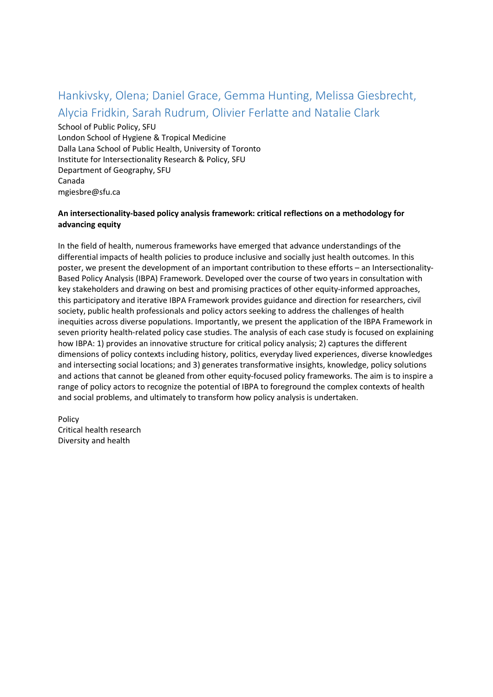# Hankivsky, Olena; Daniel Grace, Gemma Hunting, Melissa Giesbrecht, Alycia Fridkin, Sarah Rudrum, Olivier Ferlatte and Natalie Clark

School of Public Policy, SFU London School of Hygiene & Tropical Medicine Dalla Lana School of Public Health, University of Toronto Institute for Intersectionality Research & Policy, SFU Department of Geography, SFU Canada mgiesbre@sfu.ca

### **An intersectionality-based policy analysis framework: critical reflections on a methodology for advancing equity**

In the field of health, numerous frameworks have emerged that advance understandings of the differential impacts of health policies to produce inclusive and socially just health outcomes. In this poster, we present the development of an important contribution to these efforts – an Intersectionality-Based Policy Analysis (IBPA) Framework. Developed over the course of two years in consultation with key stakeholders and drawing on best and promising practices of other equity-informed approaches, this participatory and iterative IBPA Framework provides guidance and direction for researchers, civil society, public health professionals and policy actors seeking to address the challenges of health inequities across diverse populations. Importantly, we present the application of the IBPA Framework in seven priority health-related policy case studies. The analysis of each case study is focused on explaining how IBPA: 1) provides an innovative structure for critical policy analysis; 2) captures the different dimensions of policy contexts including history, politics, everyday lived experiences, diverse knowledges and intersecting social locations; and 3) generates transformative insights, knowledge, policy solutions and actions that cannot be gleaned from other equity-focused policy frameworks. The aim is to inspire a range of policy actors to recognize the potential of IBPA to foreground the complex contexts of health and social problems, and ultimately to transform how policy analysis is undertaken.

Policy Critical health research Diversity and health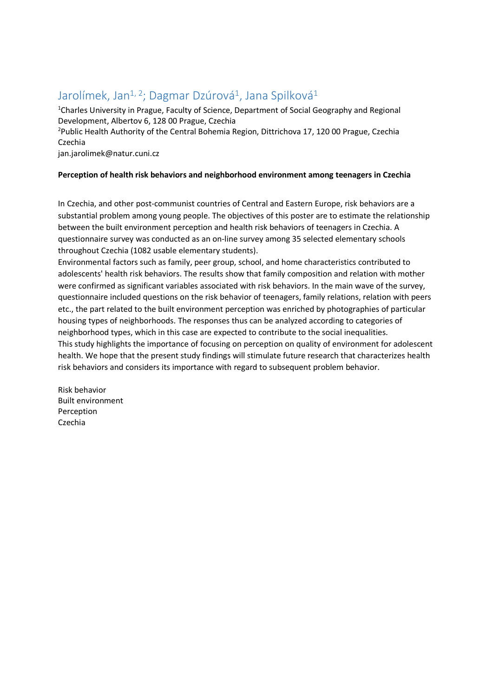### Jarolímek, Jan<sup>1, 2</sup>; Dagmar Dzúrová<sup>1</sup>, Jana Spilková<sup>1</sup>

<sup>1</sup>Charles University in Prague, Faculty of Science, Department of Social Geography and Regional Development, Albertov 6, 128 00 Prague, Czechia

2 Public Health Authority of the Central Bohemia Region, Dittrichova 17, 120 00 Prague, Czechia Czechia

jan.jarolimek@natur.cuni.cz

### **Perception of health risk behaviors and neighborhood environment among teenagers in Czechia**

In Czechia, and other post-communist countries of Central and Eastern Europe, risk behaviors are a substantial problem among young people. The objectives of this poster are to estimate the relationship between the built environment perception and health risk behaviors of teenagers in Czechia. A questionnaire survey was conducted as an on-line survey among 35 selected elementary schools throughout Czechia (1082 usable elementary students).

Environmental factors such as family, peer group, school, and home characteristics contributed to adolescents' health risk behaviors. The results show that family composition and relation with mother were confirmed as significant variables associated with risk behaviors. In the main wave of the survey, questionnaire included questions on the risk behavior of teenagers, family relations, relation with peers etc., the part related to the built environment perception was enriched by photographies of particular housing types of neighborhoods. The responses thus can be analyzed according to categories of neighborhood types, which in this case are expected to contribute to the social inequalities. This study highlights the importance of focusing on perception on quality of environment for adolescent health. We hope that the present study findings will stimulate future research that characterizes health risk behaviors and considers its importance with regard to subsequent problem behavior.

Risk behavior Built environment Perception Czechia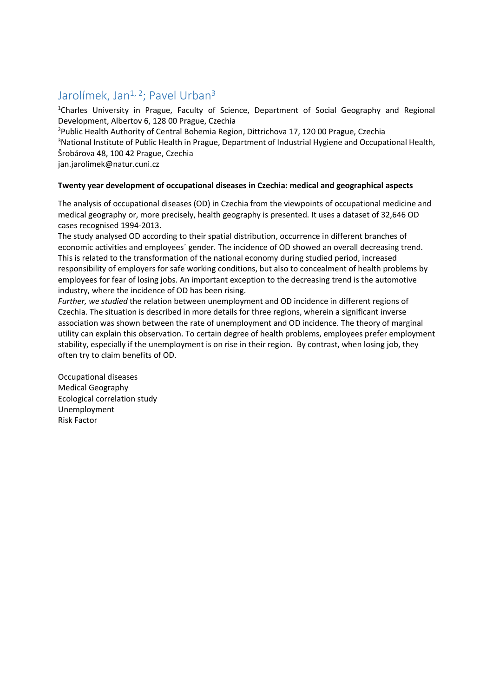### Jarolímek, Jan<sup>1, 2</sup>; Pavel Urban<sup>3</sup>

<sup>1</sup>Charles University in Prague, Faculty of Science, Department of Social Geography and Regional Development, Albertov 6, 128 00 Prague, Czechia

2 Public Health Authority of Central Bohemia Region, Dittrichova 17, 120 00 Prague, Czechia <sup>3</sup>National Institute of Public Health in Prague, Department of Industrial Hygiene and Occupational Health, Šrobárova 48, 100 42 Prague, Czechia

jan.jarolimek@natur.cuni.cz

#### **Twenty year development of occupational diseases in Czechia: medical and geographical aspects**

The analysis of occupational diseases (OD) in Czechia from the viewpoints of occupational medicine and medical geography or, more precisely, health geography is presented. It uses a dataset of 32,646 OD cases recognised 1994-2013.

The study analysed OD according to their spatial distribution, occurrence in different branches of economic activities and employees´ gender. The incidence of OD showed an overall decreasing trend. This is related to the transformation of the national economy during studied period, increased responsibility of employers for safe working conditions, but also to concealment of health problems by employees for fear of losing jobs. An important exception to the decreasing trend is the automotive industry, where the incidence of OD has been rising.

*Further, we studied* the relation between unemployment and OD incidence in different regions of Czechia. The situation is described in more details for three regions, wherein a significant inverse association was shown between the rate of unemployment and OD incidence. The theory of marginal utility can explain this observation. To certain degree of health problems, employees prefer employment stability, especially if the unemployment is on rise in their region. By contrast, when losing job, they often try to claim benefits of OD.

Occupational diseases Medical Geography Ecological correlation study Unemployment Risk Factor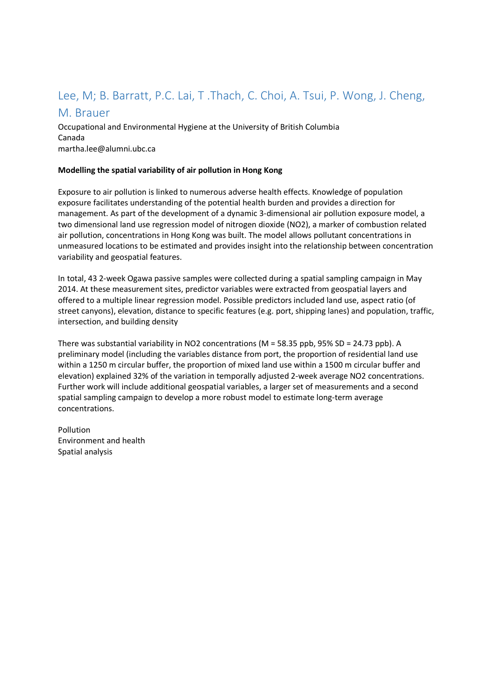# Lee, M; B. Barratt, P.C. Lai, T .Thach, C. Choi, A. Tsui, P. Wong, J. Cheng,

### M. Brauer

Occupational and Environmental Hygiene at the University of British Columbia Canada martha.lee@alumni.ubc.ca

### **Modelling the spatial variability of air pollution in Hong Kong**

Exposure to air pollution is linked to numerous adverse health effects. Knowledge of population exposure facilitates understanding of the potential health burden and provides a direction for management. As part of the development of a dynamic 3-dimensional air pollution exposure model, a two dimensional land use regression model of nitrogen dioxide (NO2), a marker of combustion related air pollution, concentrations in Hong Kong was built. The model allows pollutant concentrations in unmeasured locations to be estimated and provides insight into the relationship between concentration variability and geospatial features.

In total, 43 2-week Ogawa passive samples were collected during a spatial sampling campaign in May 2014. At these measurement sites, predictor variables were extracted from geospatial layers and offered to a multiple linear regression model. Possible predictors included land use, aspect ratio (of street canyons), elevation, distance to specific features (e.g. port, shipping lanes) and population, traffic, intersection, and building density

There was substantial variability in NO2 concentrations (M = 58.35 ppb, 95% SD = 24.73 ppb). A preliminary model (including the variables distance from port, the proportion of residential land use within a 1250 m circular buffer, the proportion of mixed land use within a 1500 m circular buffer and elevation) explained 32% of the variation in temporally adjusted 2-week average NO2 concentrations. Further work will include additional geospatial variables, a larger set of measurements and a second spatial sampling campaign to develop a more robust model to estimate long-term average concentrations.

Pollution Environment and health Spatial analysis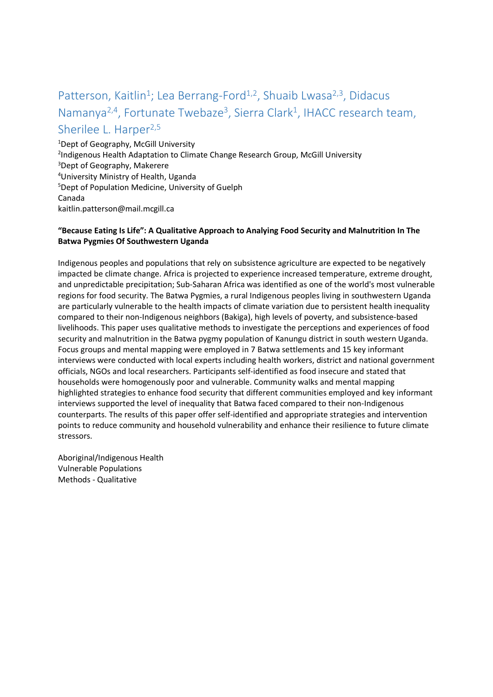# Patterson, Kaitlin<sup>1</sup>; Lea Berrang-Ford<sup>1,2</sup>, Shuaib Lwasa<sup>2,3</sup>, Didacus Namanya<sup>2,4</sup>, Fortunate Twebaze<sup>3</sup>, Sierra Clark<sup>1</sup>, IHACC research team, Sherilee L. Harper<sup>2,5</sup>

1 Dept of Geography, McGill University <sup>2</sup>Indigenous Health Adaptation to Climate Change Research Group, McGill University 3 Dept of Geography, Makerere 4 University Ministry of Health, Uganda 5 Dept of Population Medicine, University of Guelph Canada kaitlin.patterson@mail.mcgill.ca

### **"Because Eating Is Life": A Qualitative Approach to Analying Food Security and Malnutrition In The Batwa Pygmies Of Southwestern Uganda**

Indigenous peoples and populations that rely on subsistence agriculture are expected to be negatively impacted be climate change. Africa is projected to experience increased temperature, extreme drought, and unpredictable precipitation; Sub-Saharan Africa was identified as one of the world's most vulnerable regions for food security. The Batwa Pygmies, a rural Indigenous peoples living in southwestern Uganda are particularly vulnerable to the health impacts of climate variation due to persistent health inequality compared to their non-Indigenous neighbors (Bakiga), high levels of poverty, and subsistence-based livelihoods. This paper uses qualitative methods to investigate the perceptions and experiences of food security and malnutrition in the Batwa pygmy population of Kanungu district in south western Uganda. Focus groups and mental mapping were employed in 7 Batwa settlements and 15 key informant interviews were conducted with local experts including health workers, district and national government officials, NGOs and local researchers. Participants self-identified as food insecure and stated that households were homogenously poor and vulnerable. Community walks and mental mapping highlighted strategies to enhance food security that different communities employed and key informant interviews supported the level of inequality that Batwa faced compared to their non-Indigenous counterparts. The results of this paper offer self-identified and appropriate strategies and intervention points to reduce community and household vulnerability and enhance their resilience to future climate stressors.

Aboriginal/Indigenous Health Vulnerable Populations Methods - Qualitative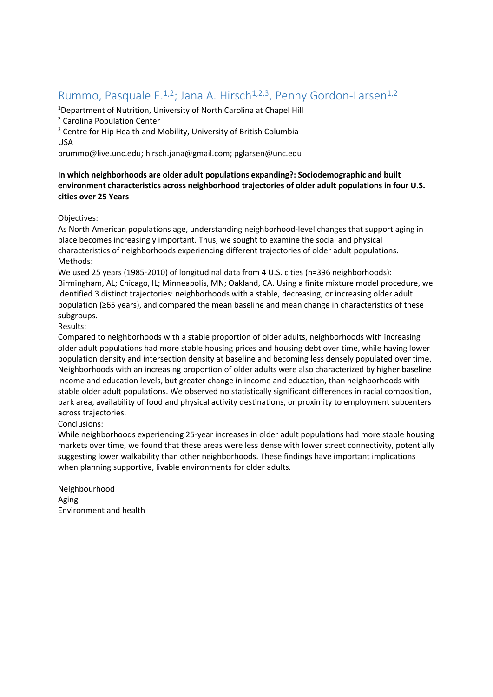### Rummo, Pasquale E.<sup>1,2</sup>; Jana A. Hirsch<sup>1,2,3</sup>, Penny Gordon-Larsen<sup>1,2</sup>

<sup>1</sup>Department of Nutrition, University of North Carolina at Chapel Hill <sup>2</sup> Carolina Population Center

<sup>3</sup> Centre for Hip Health and Mobility, University of British Columbia USA

prummo@live.unc.edu; hirsch.jana@gmail.com; pglarsen@unc.edu

### **In which neighborhoods are older adult populations expanding?: Sociodemographic and built environment characteristics across neighborhood trajectories of older adult populations in four U.S. cities over 25 Years**

### Objectives:

As North American populations age, understanding neighborhood-level changes that support aging in place becomes increasingly important. Thus, we sought to examine the social and physical characteristics of neighborhoods experiencing different trajectories of older adult populations. Methods:

We used 25 years (1985-2010) of longitudinal data from 4 U.S. cities (n=396 neighborhoods): Birmingham, AL; Chicago, IL; Minneapolis, MN; Oakland, CA. Using a finite mixture model procedure, we identified 3 distinct trajectories: neighborhoods with a stable, decreasing, or increasing older adult population (≥65 years), and compared the mean baseline and mean change in characteristics of these subgroups.

### Results:

Compared to neighborhoods with a stable proportion of older adults, neighborhoods with increasing older adult populations had more stable housing prices and housing debt over time, while having lower population density and intersection density at baseline and becoming less densely populated over time. Neighborhoods with an increasing proportion of older adults were also characterized by higher baseline income and education levels, but greater change in income and education, than neighborhoods with stable older adult populations. We observed no statistically significant differences in racial composition, park area, availability of food and physical activity destinations, or proximity to employment subcenters across trajectories.

#### Conclusions:

While neighborhoods experiencing 25-year increases in older adult populations had more stable housing markets over time, we found that these areas were less dense with lower street connectivity, potentially suggesting lower walkability than other neighborhoods. These findings have important implications when planning supportive, livable environments for older adults.

Neighbourhood Aging Environment and health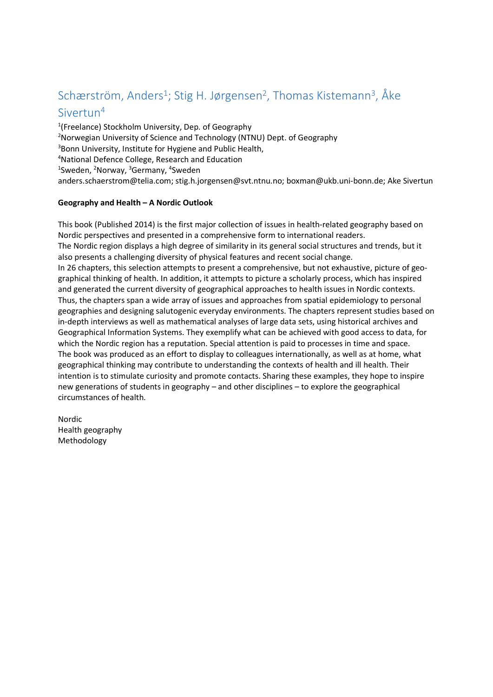# Schærström, Anders<sup>1</sup>; Stig H. Jørgensen<sup>2</sup>, Thomas Kistemann<sup>3</sup>, Åke

### Sivertun4

1 (Freelance) Stockholm University, Dep. of Geography <sup>2</sup>Norwegian University of Science and Technology (NTNU) Dept. of Geography 3 Bonn University, Institute for Hygiene and Public Health, 4 National Defence College, Research and Education <sup>1</sup>Sweden, <sup>2</sup>Norway, <sup>3</sup>Germany, <sup>4</sup>Sweden anders.schaerstrom@telia.com; stig.h.jorgensen@svt.ntnu.no; boxman@ukb.uni-bonn.de; Ake Sivertun

### **Geography and Health – A Nordic Outlook**

This book (Published 2014) is the first major collection of issues in health-related geography based on Nordic perspectives and presented in a comprehensive form to international readers. The Nordic region displays a high degree of similarity in its general social structures and trends, but it also presents a challenging diversity of physical features and recent social change. In 26 chapters, this selection attempts to present a comprehensive, but not exhaustive, picture of geographical thinking of health. In addition, it attempts to picture a scholarly process, which has inspired and generated the current diversity of geographical approaches to health issues in Nordic contexts. Thus, the chapters span a wide array of issues and approaches from spatial epidemiology to personal geographies and designing salutogenic everyday environments. The chapters represent studies based on in-depth interviews as well as mathematical analyses of large data sets, using historical archives and Geographical Information Systems. They exemplify what can be achieved with good access to data, for which the Nordic region has a reputation. Special attention is paid to processes in time and space. The book was produced as an effort to display to colleagues internationally, as well as at home, what geographical thinking may contribute to understanding the contexts of health and ill health. Their intention is to stimulate curiosity and promote contacts. Sharing these examples, they hope to inspire new generations of students in geography – and other disciplines – to explore the geographical circumstances of health.

Nordic Health geography Methodology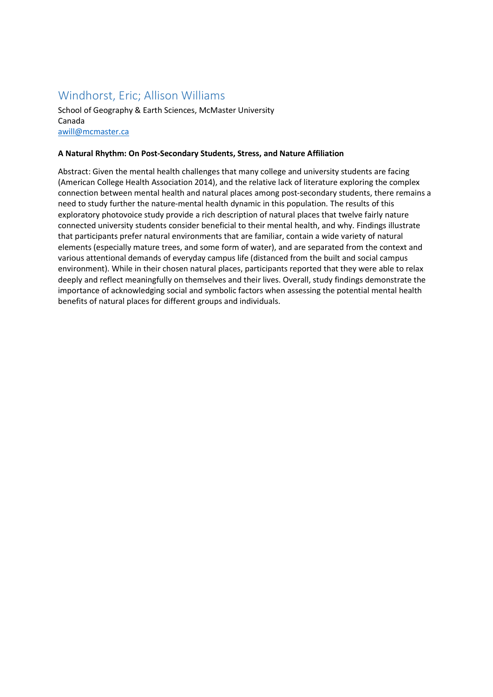### Windhorst, Eric; Allison Williams

School of Geography & Earth Sciences, McMaster University Canada awill@mcmaster.ca

#### **A Natural Rhythm: On Post-Secondary Students, Stress, and Nature Affiliation**

Abstract: Given the mental health challenges that many college and university students are facing (American College Health Association 2014), and the relative lack of literature exploring the complex connection between mental health and natural places among post-secondary students, there remains a need to study further the nature-mental health dynamic in this population. The results of this exploratory photovoice study provide a rich description of natural places that twelve fairly nature connected university students consider beneficial to their mental health, and why. Findings illustrate that participants prefer natural environments that are familiar, contain a wide variety of natural elements (especially mature trees, and some form of water), and are separated from the context and various attentional demands of everyday campus life (distanced from the built and social campus environment). While in their chosen natural places, participants reported that they were able to relax deeply and reflect meaningfully on themselves and their lives. Overall, study findings demonstrate the importance of acknowledging social and symbolic factors when assessing the potential mental health benefits of natural places for different groups and individuals.